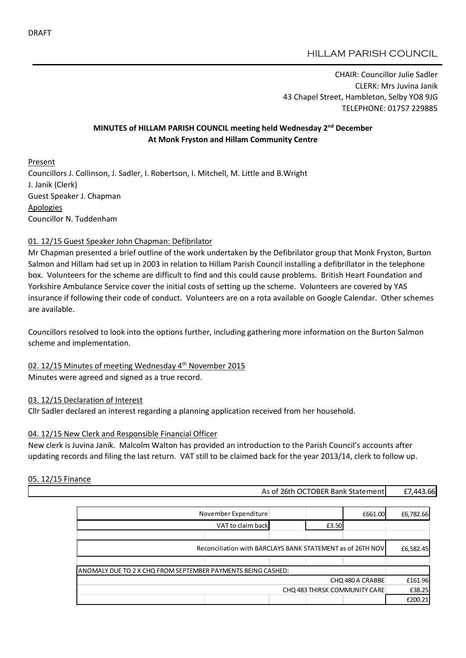## HILLAM PARISH COUNCIL

CHAIR: Councillor Julie Sadler CLERK: Mrs Juvina Janik 43 Chapel Street, Hambleton, Selby YO8 9JG TELEPHONE: 01757 229885

## MINUTES of HILLAM PARISH COUNCIL meeting held Wednesday 2<sup>nd</sup> December At Monk Fryston and Hillam Community Centre

Present Councillors J. Collinson, J. Sadler, I. Robertson, I. Mitchell, M. Little and B.Wright J. Janik (Clerk) Guest Speaker J. Chapman **Apologies** Councillor N. Tuddenham

### 01. 12/15 Guest Speaker John Chapman: Defibrilator

Mr Chapman presented a brief outline of the work undertaken by the Defibrilator group that Monk Fryston, Burton Salmon and Hillam had set up in 2003 in relation to Hillam Parish Council installing a defibrillator in the telephone box. Volunteers for the scheme are difficult to find and this could cause problems. British Heart Foundation and Yorkshire Ambulance Service cover the initial costs of setting up the scheme. Volunteers are covered by YAS insurance if following their code of conduct. Volunteers are on a rota available on Google Calendar. Other schemes are available.

Councillors resolved to look into the options further, including gathering more information on the Burton Salmon scheme and implementation.

02. 12/15 Minutes of meeting Wednesday 4th November 2015 Minutes were agreed and signed as a true record.

### 03. 12/15 Declaration of Interest

Cllr Sadler declared an interest regarding a planning application received from her household.

### 04. 12/15 New Clerk and Responsible Financial Officer

New clerk is Juvina Janik. Malcolm Walton has provided an introduction to the Parish Council's accounts after updating records and filing the last return. VAT still to be claimed back for the year 2013/14, clerk to follow up.

### 05. 12/15 Finance

| As of 26th OCTOBER Bank Statement | £7,443.66 |
|-----------------------------------|-----------|
|-----------------------------------|-----------|

|                                                              | November Expenditure |  |         | £661.00   | £6,782.66 |
|--------------------------------------------------------------|----------------------|--|---------|-----------|-----------|
|                                                              | VAT to claim back    |  | £3.50   |           |           |
|                                                              |                      |  |         |           |           |
| Reconciliation with BARCLAYS BANK STATEMENT as of 26TH NOV   |                      |  |         | £6,582.45 |           |
|                                                              |                      |  |         |           |           |
| ANOMALY DUE TO 2 X CHQ FROM SEPTEMBER PAYMENTS BEING CASHED: |                      |  |         |           |           |
| CHQ 480 A CRABBE                                             |                      |  | £161.96 |           |           |
| CHQ 483 THIRSK COMMUNITY CARE                                |                      |  | £38.25  |           |           |
|                                                              |                      |  |         |           | £200.21   |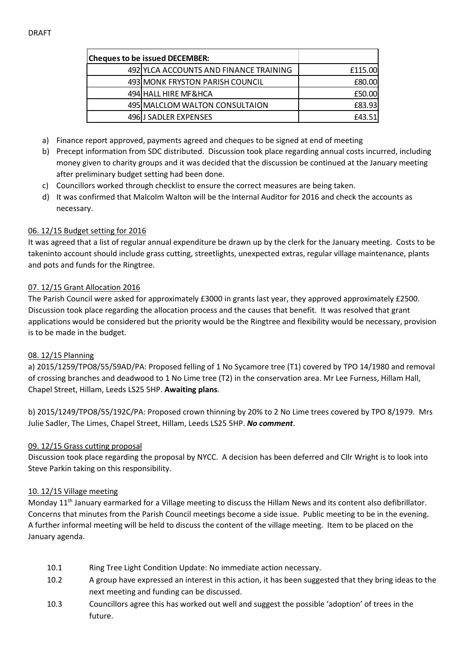| <b>Cheques to be issued DECEMBER:</b>  |         |
|----------------------------------------|---------|
| 492 YLCA ACCOUNTS AND FINANCE TRAINING | £115.00 |
| 493 MONK FRYSTON PARISH COUNCIL        | £80.00  |
| 494 HALL HIRE MF&HCA                   | £50.00  |
| 495 MALCLOM WALTON CONSULTAION         | £83.93  |
| 496 J SADLER EXPENSES                  | £43.51  |

- a) Finance report approved, payments agreed and cheques to be signed at end of meeting
- b) Precept information from SDC distributed. Discussion took place regarding annual costs incurred, including money given to charity groups and it was decided that the discussion be continued at the January meeting after preliminary budget setting had been done.
- c) Councillors worked through checklist to ensure the correct measures are being taken.
- d) It was confirmed that Malcolm Walton will be the Internal Auditor for 2016 and check the accounts as necessary.

## 06. 12/15 Budget setting for 2016

It was agreed that a list of regular annual expenditure be drawn up by the clerk for the January meeting. Costs to be takeninto account should include grass cutting, streetlights, unexpected extras, regular village maintenance, plants and pots and funds for the Ringtree.

## 07. 12/15 Grant Allocation 2016

The Parish Council were asked for approximately £3000 in grants last year, they approved approximately £2500. Discussion took place regarding the allocation process and the causes that benefit. It was resolved that grant applications would be considered but the priority would be the Ringtree and flexibility would be necessary, provision is to be made in the budget.

# 08. 12/15 Planning

a) 2015/1259/TPO8/55/59AD/PA: Proposed felling of 1 No Sycamore tree (T1) covered by TPO 14/1980 and removal of crossing branches and deadwood to 1 No Lime tree (T2) in the conservation area. Mr Lee Furness, Hillam Hall, Chapel Street, Hillam, Leeds LS25 5HP. Awaiting plans.

b) 2015/1249/TPO8/55/192C/PA: Proposed crown thinning by 20% to 2 No Lime trees covered by TPO 8/1979. Mrs Julie Sadler, The Limes, Chapel Street, Hillam, Leeds LS25 5HP. *No comment*.

# 09. 12/15 Grass cutting proposal

Discussion took place regarding the proposal by NYCC. A decision has been deferred and Cllr Wright is to look into Steve Parkin taking on this responsibility.

# 10. 12/15 Village meeting

Monday 11<sup>th</sup> January earmarked for a Village meeting to discuss the Hillam News and its content also defibrillator. Concerns that minutes from the Parish Council meetings become a side issue. Public meeting to be in the evening. A further informal meeting will be held to discuss the content of the village meeting. Item to be placed on the January agenda.

- 10.1 Ring Tree Light Condition Update: No immediate action necessary.
- 10.2 A group have expressed an interest in this action, it has been suggested that they bring ideas to the next meeting and funding can be discussed.
- 10.3 Councillors agree this has worked out well and suggest the possible 'adoption' of trees in the future.